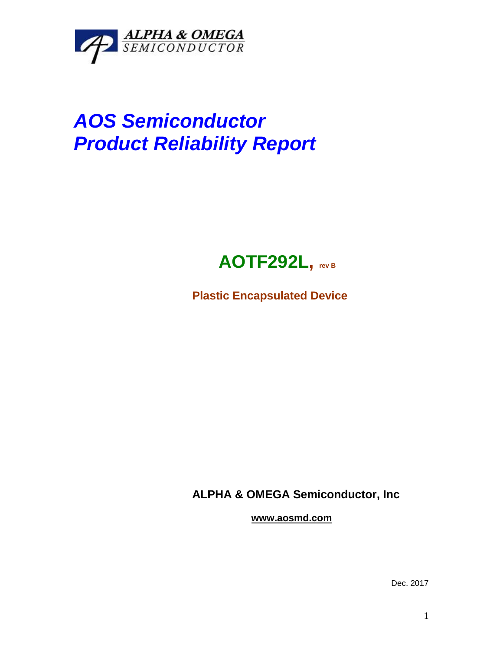

## *AOS Semiconductor Product Reliability Report*



**Plastic Encapsulated Device**

**ALPHA & OMEGA Semiconductor, Inc**

**www.aosmd.com**

Dec. 2017